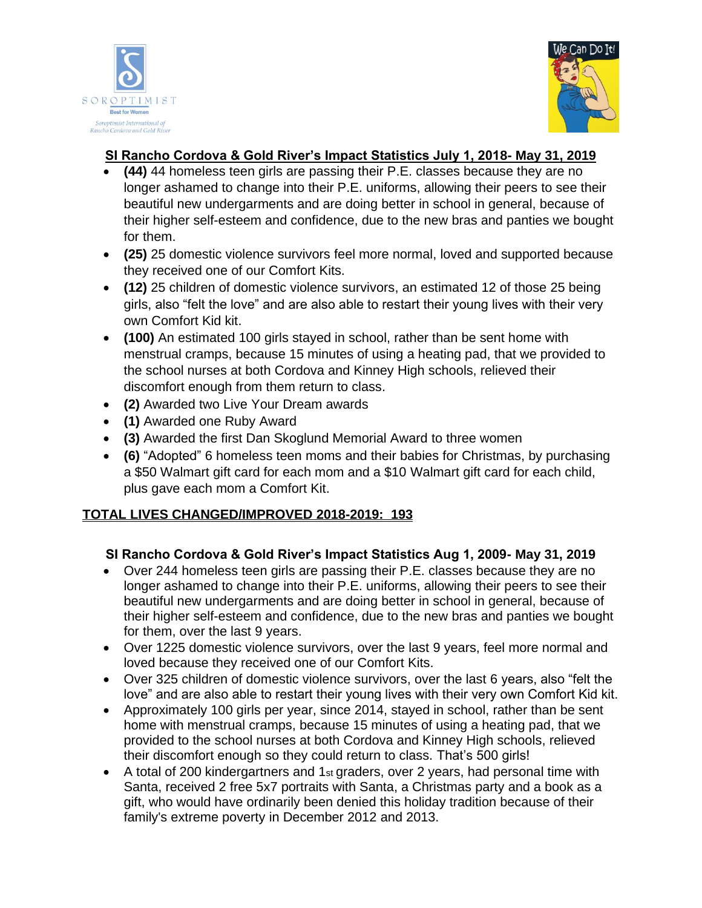



## **SI Rancho Cordova & Gold River's Impact Statistics July 1, 2018- May 31, 2019**

- **(44)** 44 homeless teen girls are passing their P.E. classes because they are no longer ashamed to change into their P.E. uniforms, allowing their peers to see their beautiful new undergarments and are doing better in school in general, because of their higher self-esteem and confidence, due to the new bras and panties we bought for them.
- **(25)** 25 domestic violence survivors feel more normal, loved and supported because they received one of our Comfort Kits.
- **(12)** 25 children of domestic violence survivors, an estimated 12 of those 25 being girls, also "felt the love" and are also able to restart their young lives with their very own Comfort Kid kit.
- **(100)** An estimated 100 girls stayed in school, rather than be sent home with menstrual cramps, because 15 minutes of using a heating pad, that we provided to the school nurses at both Cordova and Kinney High schools, relieved their discomfort enough from them return to class.
- **(2)** Awarded two Live Your Dream awards
- **(1)** Awarded one Ruby Award
- **(3)** Awarded the first Dan Skoglund Memorial Award to three women
- **(6)** "Adopted" 6 homeless teen moms and their babies for Christmas, by purchasing a \$50 Walmart gift card for each mom and a \$10 Walmart gift card for each child, plus gave each mom a Comfort Kit.

### **TOTAL LIVES CHANGED/IMPROVED 2018-2019: 193**

### **SI Rancho Cordova & Gold River's Impact Statistics Aug 1, 2009- May 31, 2019**

- Over 244 homeless teen girls are passing their P.E. classes because they are no longer ashamed to change into their P.E. uniforms, allowing their peers to see their beautiful new undergarments and are doing better in school in general, because of their higher self-esteem and confidence, due to the new bras and panties we bought for them, over the last 9 years.
- Over 1225 domestic violence survivors, over the last 9 years, feel more normal and loved because they received one of our Comfort Kits.
- Over 325 children of domestic violence survivors, over the last 6 years, also "felt the love" and are also able to restart their young lives with their very own Comfort Kid kit.
- Approximately 100 girls per year, since 2014, stayed in school, rather than be sent home with menstrual cramps, because 15 minutes of using a heating pad, that we provided to the school nurses at both Cordova and Kinney High schools, relieved their discomfort enough so they could return to class. That's 500 girls!
- A total of 200 kindergartners and 1st graders, over 2 years, had personal time with Santa, received 2 free 5x7 portraits with Santa, a Christmas party and a book as a gift, who would have ordinarily been denied this holiday tradition because of their family's extreme poverty in December 2012 and 2013.